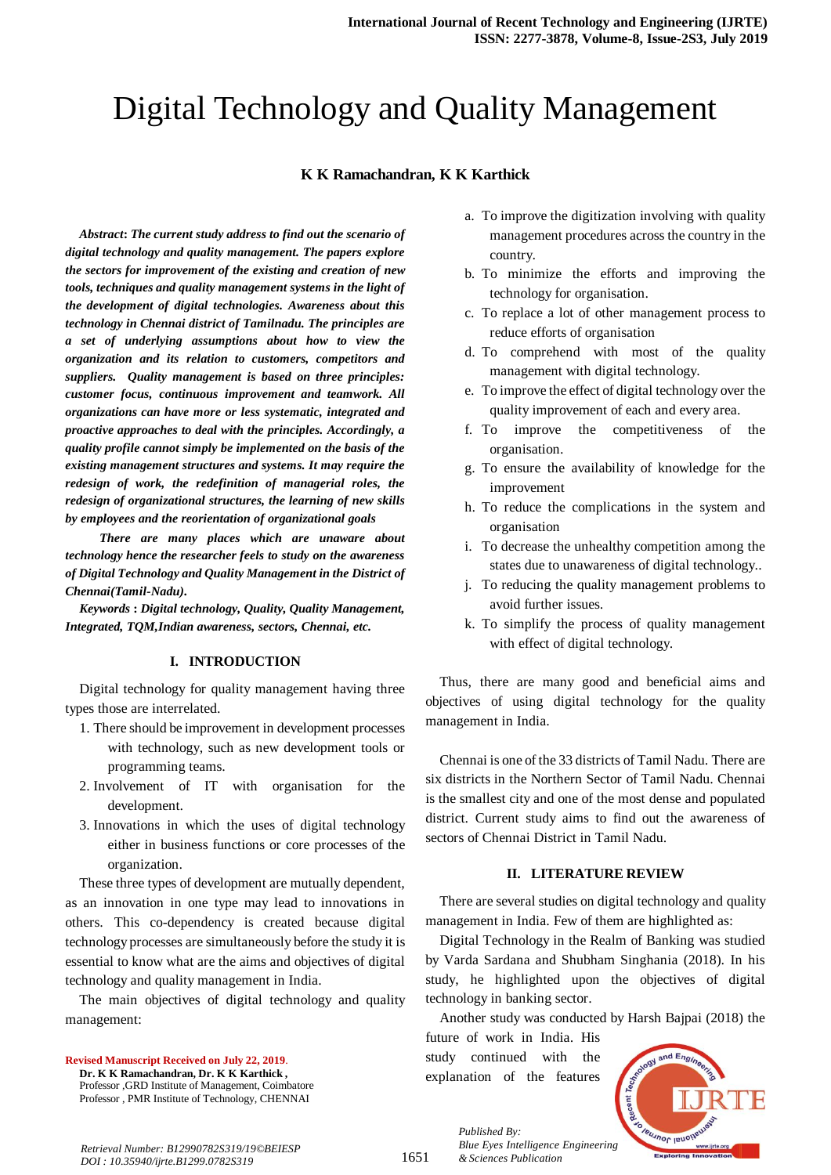# Digital Technology and Quality Management

### **K K Ramachandran, K K Karthick**

*Abstract***:** *The current study address to find out the scenario of digital technology and quality management. The papers explore the sectors for improvement of the existing and creation of new tools, techniques and quality management systems in the light of the development of digital technologies. Awareness about this technology in Chennai district of Tamilnadu. The principles are a set of underlying assumptions about how to view the organization and its relation to customers, competitors and suppliers. Quality management is based on three principles: customer focus, continuous improvement and teamwork. All organizations can have more or less systematic, integrated and proactive approaches to deal with the principles. Accordingly, a quality profile cannot simply be implemented on the basis of the existing management structures and systems. It may require the redesign of work, the redefinition of managerial roles, the redesign of organizational structures, the learning of new skills by employees and the reorientation of organizational goals* 

 *There are many places which are unaware about technology hence the researcher feels to study on the awareness of Digital Technology and Quality Management in the District of Chennai(Tamil-Nadu).*

*Keywords* **:** *Digital technology, Quality, Quality Management, Integrated, TQM,Indian awareness, sectors, Chennai, etc.*

#### **I. INTRODUCTION**

Digital technology for quality management having three types those are interrelated.

- 1. There should be improvement in development processes with technology, such as new development tools or programming teams.
- 2. Involvement of IT with organisation for the development.
- 3. Innovations in which the uses of digital technology either in business functions or core processes of the organization.

These three types of development are mutually dependent, as an innovation in one type may lead to innovations in others. This co-dependency is created because digital technology processes are simultaneously before the study it is essential to know what are the aims and objectives of digital technology and quality management in India.

The main objectives of digital technology and quality management:

**Revised Manuscript Received on July 22, 2019**. **Dr. K K Ramachandran, Dr. K K Karthick ,** Professor ,GRD Institute of Management, Coimbatore Professor , PMR Institute of Technology, CHENNAI

- a. To improve the digitization involving with quality management procedures across the country in the country.
- b. To minimize the efforts and improving the technology for organisation.
- c. To replace a lot of other management process to reduce efforts of organisation
- d. To comprehend with most of the quality management with digital technology.
- e. To improve the effect of digital technology over the quality improvement of each and every area.
- f. To improve the competitiveness of the organisation.
- g. To ensure the availability of knowledge for the improvement
- h. To reduce the complications in the system and organisation
- i. To decrease the unhealthy competition among the states due to unawareness of digital technology..
- j. To reducing the quality management problems to avoid further issues.
- k. To simplify the process of quality management with effect of digital technology.

Thus, there are many good and beneficial aims and objectives of using digital technology for the quality management in India.

Chennai is one of the 33 districts of Tamil Nadu. There are six districts in the Northern Sector of Tamil Nadu. Chennai is the smallest city and one of the most dense and populated district. Current study aims to find out the awareness of sectors of Chennai District in Tamil Nadu.

#### **II. LITERATURE REVIEW**

There are several studies on digital technology and quality management in India. Few of them are highlighted as:

Digital Technology in the Realm of Banking was studied by Varda Sardana and Shubham Singhania (2018). In his study, he highlighted upon the objectives of digital technology in banking sector.

Another study was conducted by Harsh Bajpai (2018) the

future of work in India. His study continued with the explanation of the features

*Published By:*

*& Sciences Publication* 



*Retrieval Number: B12990782S319/19©BEIESP DOI : 10.35940/ijrte.B1299.0782S319*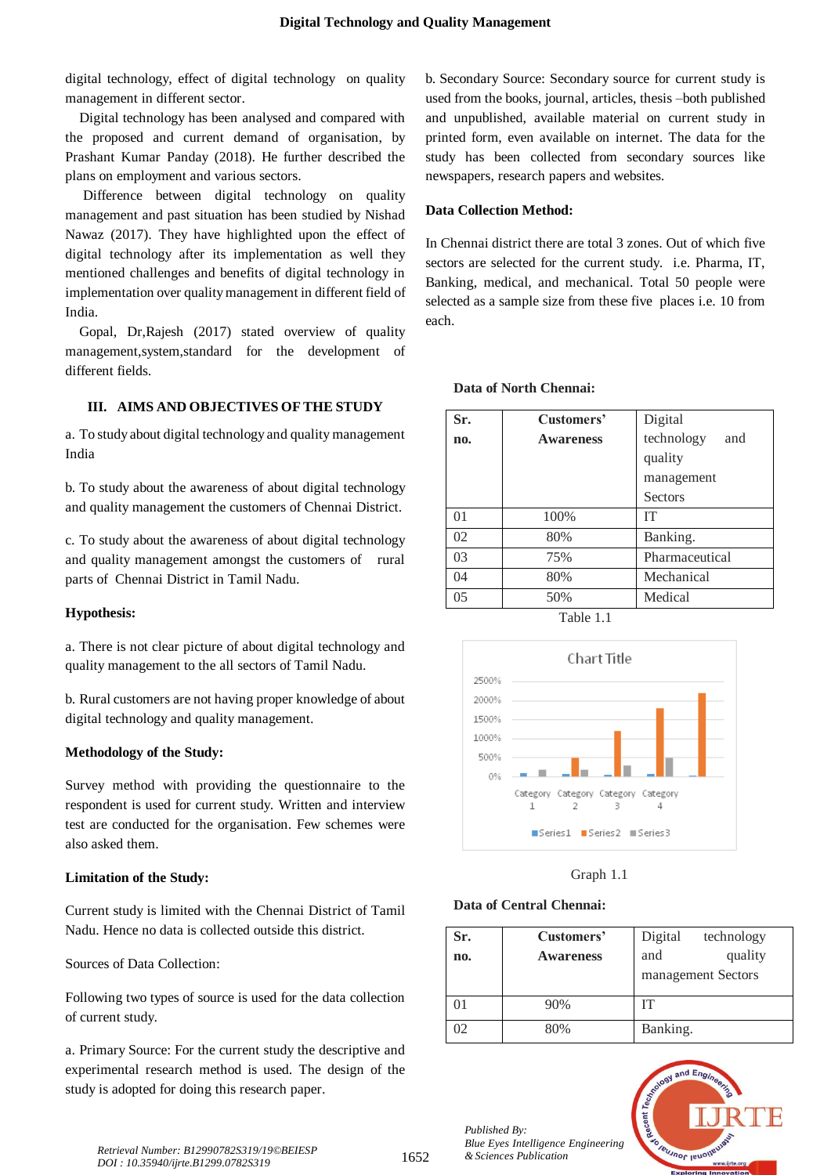digital technology, effect of digital technology on quality management in different sector.

Digital technology has been analysed and compared with the proposed and current demand of organisation, by Prashant Kumar Panday (2018). He further described the plans on employment and various sectors.

Difference between digital technology on quality management and past situation has been studied by Nishad Nawaz (2017). They have highlighted upon the effect of digital technology after its implementation as well they mentioned challenges and benefits of digital technology in implementation over quality management in different field of India.

Gopal, Dr,Rajesh (2017) stated overview of quality management,system,standard for the development of different fields.

# **III. AIMS AND OBJECTIVES OF THE STUDY**

a. To study about digital technology and quality management India

b. To study about the awareness of about digital technology and quality management the customers of Chennai District.

c. To study about the awareness of about digital technology and quality management amongst the customers of rural parts of Chennai District in Tamil Nadu.

# **Hypothesis:**

a. There is not clear picture of about digital technology and quality management to the all sectors of Tamil Nadu.

b. Rural customers are not having proper knowledge of about digital technology and quality management.

# **Methodology of the Study:**

Survey method with providing the questionnaire to the respondent is used for current study. Written and interview test are conducted for the organisation. Few schemes were also asked them.

# **Limitation of the Study:**

Current study is limited with the Chennai District of Tamil Nadu. Hence no data is collected outside this district.

Sources of Data Collection:

Following two types of source is used for the data collection of current study.

a. Primary Source: For the current study the descriptive and experimental research method is used. The design of the study is adopted for doing this research paper.

b. Secondary Source: Secondary source for current study is used from the books, journal, articles, thesis –both published and unpublished, available material on current study in printed form, even available on internet. The data for the study has been collected from secondary sources like newspapers, research papers and websites.

# **Data Collection Method:**

In Chennai district there are total 3 zones. Out of which five sectors are selected for the current study. i.e. Pharma, IT, Banking, medical, and mechanical. Total 50 people were selected as a sample size from these five places i.e. 10 from each.

| Sr. | Customers'       | Digital           |
|-----|------------------|-------------------|
| no. | <b>Awareness</b> | technology<br>and |
|     |                  | quality           |
|     |                  | management        |
|     |                  | <b>Sectors</b>    |
| 01  | 100%             | IТ                |
| 02  | 80%              | Banking.          |
| 03  | 75%              | Pharmaceutical    |
| 04  | 80%              | Mechanical        |
| 05  | 50%              | Medical           |

#### **Data of North Chennai:**





Graph 1.1

# **Data of Central Chennai:**

| Sr.<br>no. | Customers'<br><b>Awareness</b> | Digital<br>technology<br>quality<br>and<br>management Sectors |
|------------|--------------------------------|---------------------------------------------------------------|
|            | 90%                            | IТ                                                            |
| 02         | 80%                            | Banking.                                                      |

leusnor lenor



*& Sciences Publication Retrieval Number: B12990782S319/19©BEIESP DOI : 10.35940/ijrte.B1299.0782S319*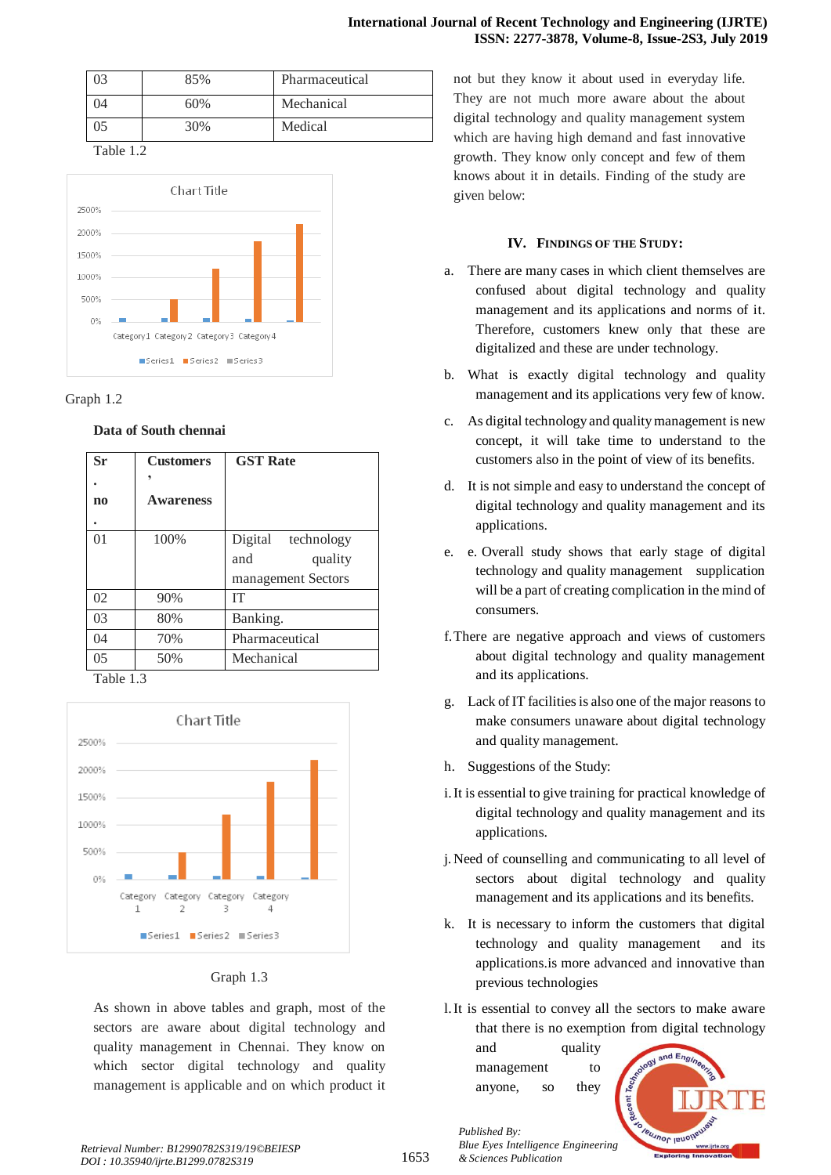| 73 | 85% | Pharmaceutical |
|----|-----|----------------|
| )4 | 60% | Mechanical     |
| 75 | 30% | Medical        |

Table 1.2



#### Graph 1.2

# **Data of South chennai**

| Sr             | <b>Customers</b> | <b>GST Rate</b>    |
|----------------|------------------|--------------------|
|                |                  |                    |
| $\mathbf{n}$   | <b>Awareness</b> |                    |
|                |                  |                    |
| 0 <sub>1</sub> | 100%             | Digital technology |
|                |                  | and<br>quality     |
|                |                  | management Sectors |
| 02             | 90%              | <b>IT</b>          |
| 03             | 80%              | Banking.           |
| 04             | 70%              | Pharmaceutical     |
| 0 <sub>5</sub> | 50%              | Mechanical         |
| <i>-</i> 11    | $\sim$           |                    |

Table 1.3



# Graph 1.3

As shown in above tables and graph, most of the sectors are aware about digital technology and quality management in Chennai. They know on which sector digital technology and quality management is applicable and on which product it

not but they know it about used in everyday life. They are not much more aware about the about digital technology and quality management system which are having high demand and fast innovative growth. They know only concept and few of them knows about it in details. Finding of the study are given below:

# **IV. FINDINGS OF THE STUDY:**

- a. There are many cases in which client themselves are confused about digital technology and quality management and its applications and norms of it. Therefore, customers knew only that these are digitalized and these are under technology.
- b. What is exactly digital technology and quality management and its applications very few of know.
- c. As digital technology and quality management is new concept, it will take time to understand to the customers also in the point of view of its benefits.
- d. It is not simple and easy to understand the concept of digital technology and quality management and its applications.
- e. e. Overall study shows that early stage of digital technology and quality management supplication will be a part of creating complication in the mind of consumers.
- f.There are negative approach and views of customers about digital technology and quality management and its applications.
- g. Lack of IT facilities is also one of the major reasons to make consumers unaware about digital technology and quality management.
- h. Suggestions of the Study:
- i.It is essential to give training for practical knowledge of digital technology and quality management and its applications.
- j. Need of counselling and communicating to all level of sectors about digital technology and quality management and its applications and its benefits.
- k. It is necessary to inform the customers that digital technology and quality management and its applications.is more advanced and innovative than previous technologies
- l.It is essential to convey all the sectors to make aware that there is no exemption from digital technology

and quality management to anyone, so they

*Published By:*

*& Sciences Publication* 



*Retrieval Number: B12990782S319/19©BEIESP DOI : 10.35940/ijrte.B1299.0782S319*